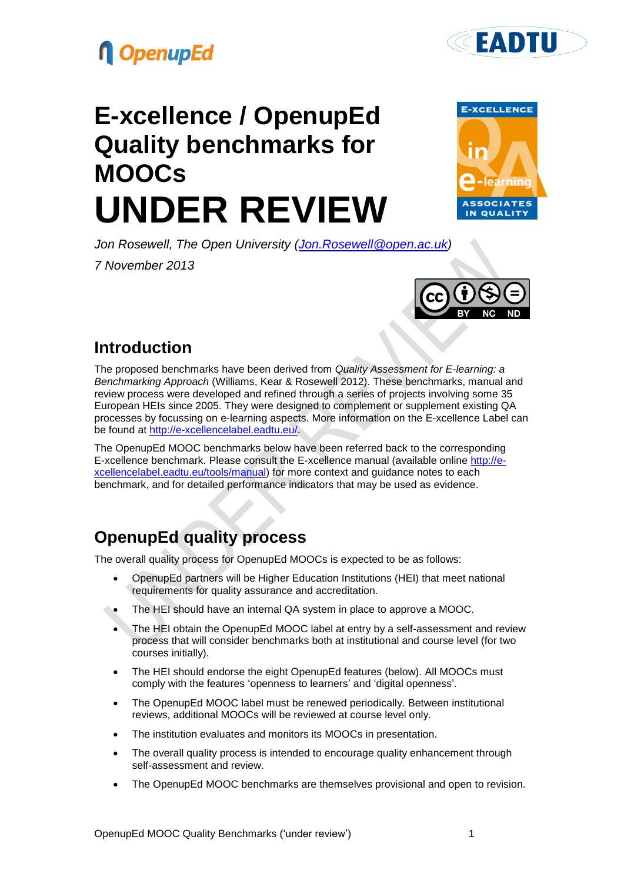





**CEADTH** 

*Jon Rosewell, The Open University [\(Jon.Rosewell@open.ac.uk\)](mailto:Jon.Rosewell@open.ac.uk) 7 November 2013*



### **Introduction**

The proposed benchmarks have been derived from *Quality Assessment for E-learning: a Benchmarking Approach* (Williams, Kear & Rosewell 2012). These benchmarks, manual and review process were developed and refined through a series of projects involving some 35 European HEIs since 2005. They were designed to complement or supplement existing QA processes by focussing on e-learning aspects. More information on the E-xcellence Label can be found at [http://e-xcellencelabel.eadtu.eu/.](http://e-xcellencelabel.eadtu.eu/)

The OpenupEd MOOC benchmarks below have been referred back to the corresponding E-xcellence benchmark. Please consult the E-xcellence manual (available online [http://e](http://e-xcellencelabel.eadtu.eu/tools/manual)[xcellencelabel.eadtu.eu/tools/manual\)](http://e-xcellencelabel.eadtu.eu/tools/manual) for more context and guidance notes to each benchmark, and for detailed performance indicators that may be used as evidence.

## **OpenupEd quality process**

The overall quality process for OpenupEd MOOCs is expected to be as follows:

- OpenupEd partners will be Higher Education Institutions (HEI) that meet national requirements for quality assurance and accreditation.
- The HEI should have an internal QA system in place to approve a MOOC.
- The HEI obtain the OpenupEd MOOC label at entry by a self-assessment and review process that will consider benchmarks both at institutional and course level (for two courses initially).
- The HEI should endorse the eight OpenupEd features (below). All MOOCs must comply with the features 'openness to learners' and 'digital openness'.
- The OpenupEd MOOC label must be renewed periodically. Between institutional reviews, additional MOOCs will be reviewed at course level only.
- The institution evaluates and monitors its MOOCs in presentation.
- The overall quality process is intended to encourage quality enhancement through self-assessment and review.
- The OpenupEd MOOC benchmarks are themselves provisional and open to revision.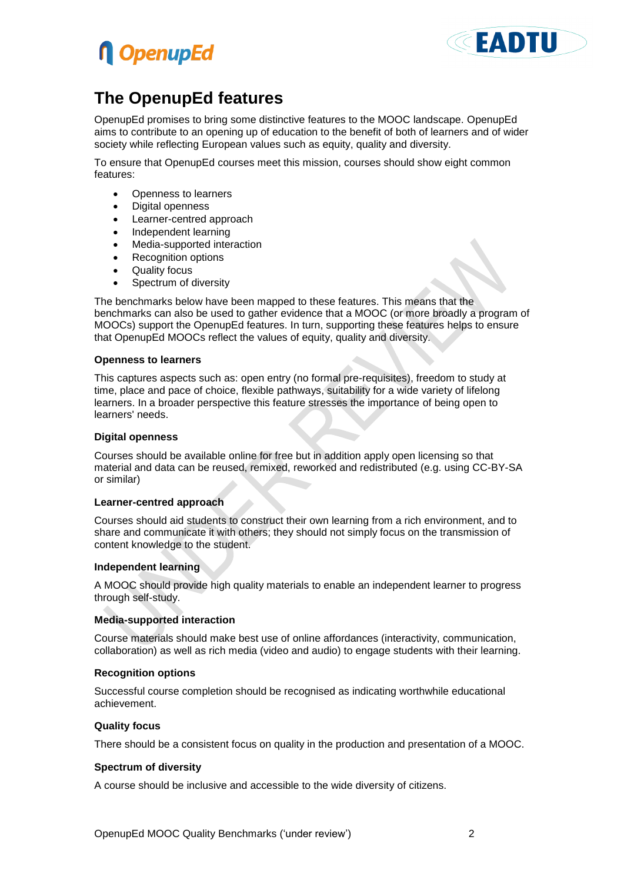



### **The OpenupEd features**

OpenupEd promises to bring some distinctive features to the MOOC landscape. OpenupEd aims to contribute to an opening up of education to the benefit of both of learners and of wider society while reflecting European values such as equity, quality and diversity.

To ensure that OpenupEd courses meet this mission, courses should show eight common features:

- Openness to learners
- Digital openness
- Learner-centred approach
- Independent learning
- Media-supported interaction
- Recognition options
- Quality focus
- Spectrum of diversity

The benchmarks below have been mapped to these features. This means that the benchmarks can also be used to gather evidence that a MOOC (or more broadly a program of MOOCs) support the OpenupEd features. In turn, supporting these features helps to ensure that OpenupEd MOOCs reflect the values of equity, quality and diversity.

#### **Openness to learners**

This captures aspects such as: open entry (no formal pre-requisites), freedom to study at time, place and pace of choice, flexible pathways, suitability for a wide variety of lifelong learners. In a broader perspective this feature stresses the importance of being open to learners' needs.

#### **Digital openness**

Courses should be available online for free but in addition apply open licensing so that material and data can be reused, remixed, reworked and redistributed (e.g. using CC-BY-SA or similar)

#### **Learner-centred approach**

Courses should aid students to construct their own learning from a rich environment, and to share and communicate it with others; they should not simply focus on the transmission of content knowledge to the student.

#### **Independent learning**

A MOOC should provide high quality materials to enable an independent learner to progress through self-study.

#### **Media-supported interaction**

Course materials should make best use of online affordances (interactivity, communication, collaboration) as well as rich media (video and audio) to engage students with their learning.

#### **Recognition options**

Successful course completion should be recognised as indicating worthwhile educational achievement.

#### **Quality focus**

There should be a consistent focus on quality in the production and presentation of a MOOC.

#### **Spectrum of diversity**

A course should be inclusive and accessible to the wide diversity of citizens.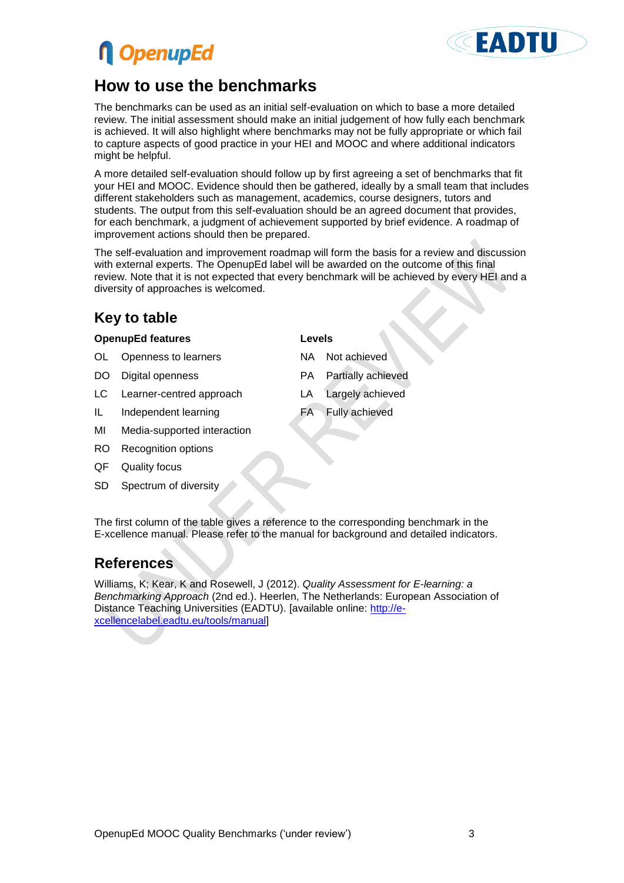# **n** OpenupEd

### **How to use the benchmarks**

The benchmarks can be used as an initial self-evaluation on which to base a more detailed review. The initial assessment should make an initial judgement of how fully each benchmark is achieved. It will also highlight where benchmarks may not be fully appropriate or which fail to capture aspects of good practice in your HEI and MOOC and where additional indicators might be helpful.

A more detailed self-evaluation should follow up by first agreeing a set of benchmarks that fit your HEI and MOOC. Evidence should then be gathered, ideally by a small team that includes different stakeholders such as management, academics, course designers, tutors and students. The output from this self-evaluation should be an agreed document that provides, for each benchmark, a judgment of achievement supported by brief evidence. A roadmap of improvement actions should then be prepared.

The self-evaluation and improvement roadmap will form the basis for a review and discussion with external experts. The OpenupEd label will be awarded on the outcome of this final review. Note that it is not expected that every benchmark will be achieved by every HEI and a diversity of approaches is welcomed.

### **Key to table**

### **OpenupEd features Levels**

- OL Openness to learners NA Not achieved
- 
- LC Learner-centred approach LA Largely achieved
- IL Independent learning FA Fully achieved
- MI Media-supported interaction
- RO Recognition options
- QF Quality focus
- SD Spectrum of diversity

#### The first column of the table gives a reference to the corresponding benchmark in the E-xcellence manual. Please refer to the manual for background and detailed indicators.

### **References**

Williams, K; Kear, K and Rosewell, J (2012). *Quality Assessment for E-learning: a Benchmarking Approach* (2nd ed.). Heerlen, The Netherlands: European Association of Distance Teaching Universities (EADTU). [available online: [http://e](http://e-xcellencelabel.eadtu.eu/tools/manual)[xcellencelabel.eadtu.eu/tools/manual\]](http://e-xcellencelabel.eadtu.eu/tools/manual)

- 
- DO Digital openness **PA Partially achieved** 
	-
	-

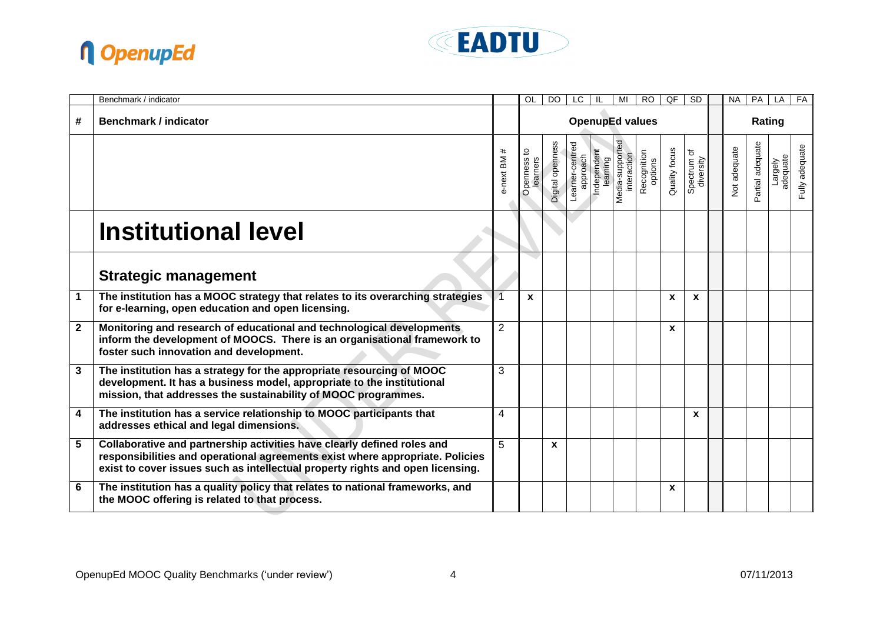



|              | Benchmark / indicator                                                                                                                                                                                                                      |                | OL                       | <b>DO</b>        | LC.                         | IL                      | MI                             | <b>RO</b>              | QF            | $\overline{\text{SD}}$   |  | <b>NA</b>    | PA               | LA                  | FA             |  |  |  |
|--------------|--------------------------------------------------------------------------------------------------------------------------------------------------------------------------------------------------------------------------------------------|----------------|--------------------------|------------------|-----------------------------|-------------------------|--------------------------------|------------------------|---------------|--------------------------|--|--------------|------------------|---------------------|----------------|--|--|--|
| #            | <b>Benchmark / indicator</b>                                                                                                                                                                                                               |                | <b>OpenupEd values</b>   |                  |                             |                         |                                |                        |               |                          |  |              | Rating           |                     |                |  |  |  |
|              |                                                                                                                                                                                                                                            | #<br>e-next BM | ೆ<br>Openness<br>earners | Digital openness | _earner-centred<br>approach | Independent<br>learning | Media-supported<br>interaction | Recognition<br>options | Quality focus | Spectrum of<br>diversity |  | Not adequate | Partial adequate | adequate<br>Largely | Fully adequate |  |  |  |
|              | <b>Institutional level</b>                                                                                                                                                                                                                 |                |                          |                  |                             |                         |                                |                        |               |                          |  |              |                  |                     |                |  |  |  |
|              | <b>Strategic management</b>                                                                                                                                                                                                                |                |                          |                  |                             |                         |                                |                        |               |                          |  |              |                  |                     |                |  |  |  |
| $\mathbf 1$  | The institution has a MOOC strategy that relates to its overarching strategies<br>for e-learning, open education and open licensing.                                                                                                       | $\overline{1}$ | X                        |                  |                             |                         |                                |                        | X             | X                        |  |              |                  |                     |                |  |  |  |
| $\mathbf{2}$ | Monitoring and research of educational and technological developments<br>inform the development of MOOCS. There is an organisational framework to<br>foster such innovation and development.                                               | $\overline{2}$ |                          |                  |                             |                         |                                |                        | $\mathbf{x}$  |                          |  |              |                  |                     |                |  |  |  |
| 3            | The institution has a strategy for the appropriate resourcing of MOOC<br>development. It has a business model, appropriate to the institutional<br>mission, that addresses the sustainability of MOOC programmes.                          | 3              |                          |                  |                             |                         |                                |                        |               |                          |  |              |                  |                     |                |  |  |  |
| 4            | The institution has a service relationship to MOOC participants that<br>addresses ethical and legal dimensions.                                                                                                                            | 4              |                          |                  |                             |                         |                                |                        |               | X                        |  |              |                  |                     |                |  |  |  |
| 5            | Collaborative and partnership activities have clearly defined roles and<br>responsibilities and operational agreements exist where appropriate. Policies<br>exist to cover issues such as intellectual property rights and open licensing. | 5              |                          | $\mathbf{x}$     |                             |                         |                                |                        |               |                          |  |              |                  |                     |                |  |  |  |
| 6            | The institution has a quality policy that relates to national frameworks, and<br>the MOOC offering is related to that process.                                                                                                             |                |                          |                  |                             |                         |                                |                        | X             |                          |  |              |                  |                     |                |  |  |  |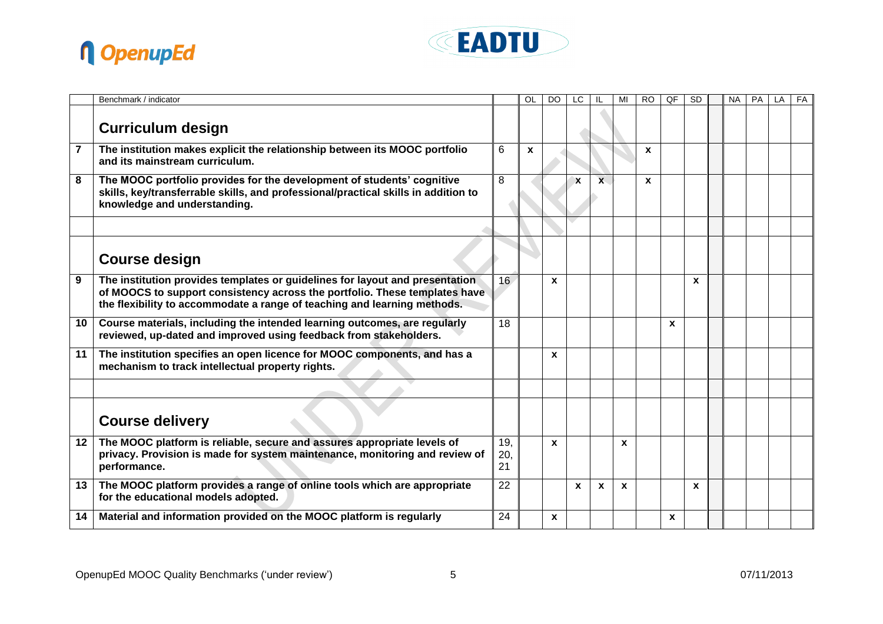



|                | Benchmark / indicator                                                                                                                                                                                                                  |                  | OL           | DO.              | LC          |              |              | RO | QF           | <b>SD</b> | <b>NA</b> | <b>PA</b> | LA | FA |
|----------------|----------------------------------------------------------------------------------------------------------------------------------------------------------------------------------------------------------------------------------------|------------------|--------------|------------------|-------------|--------------|--------------|----|--------------|-----------|-----------|-----------|----|----|
|                | <b>Curriculum design</b>                                                                                                                                                                                                               |                  |              |                  |             |              |              |    |              |           |           |           |    |    |
| $\overline{7}$ | The institution makes explicit the relationship between its MOOC portfolio<br>and its mainstream curriculum.                                                                                                                           | 6                | $\mathbf{x}$ |                  |             |              |              | X  |              |           |           |           |    |    |
| 8              | The MOOC portfolio provides for the development of students' cognitive<br>skills, key/transferrable skills, and professional/practical skills in addition to<br>knowledge and understanding.                                           | 8                |              |                  | $\mathbf x$ | $\mathbf{x}$ |              | X  |              |           |           |           |    |    |
|                |                                                                                                                                                                                                                                        |                  |              |                  |             |              |              |    |              |           |           |           |    |    |
|                | <b>Course design</b>                                                                                                                                                                                                                   |                  |              |                  |             |              |              |    |              |           |           |           |    |    |
| 9              | The institution provides templates or guidelines for layout and presentation<br>of MOOCS to support consistency across the portfolio. These templates have<br>the flexibility to accommodate a range of teaching and learning methods. | 16               |              | $\boldsymbol{x}$ |             |              |              |    |              | X         |           |           |    |    |
| 10             | Course materials, including the intended learning outcomes, are regularly<br>reviewed, up-dated and improved using feedback from stakeholders.                                                                                         | 18               |              |                  |             |              |              |    | $\mathbf{x}$ |           |           |           |    |    |
| 11             | The institution specifies an open licence for MOOC components, and has a<br>mechanism to track intellectual property rights.                                                                                                           |                  |              | $\mathbf{x}$     |             |              |              |    |              |           |           |           |    |    |
|                |                                                                                                                                                                                                                                        |                  |              |                  |             |              |              |    |              |           |           |           |    |    |
|                | <b>Course delivery</b>                                                                                                                                                                                                                 |                  |              |                  |             |              |              |    |              |           |           |           |    |    |
| 12             | The MOOC platform is reliable, secure and assures appropriate levels of<br>privacy. Provision is made for system maintenance, monitoring and review of<br>performance.                                                                 | 19,<br>20,<br>21 |              | $\mathbf{x}$     |             |              | $\mathbf x$  |    |              |           |           |           |    |    |
| 13             | The MOOC platform provides a range of online tools which are appropriate<br>for the educational models adopted.                                                                                                                        | 22               |              |                  | X           | $\mathbf{x}$ | $\mathbf{x}$ |    |              | X         |           |           |    |    |
| 14             | Material and information provided on the MOOC platform is regularly                                                                                                                                                                    | 24               |              | $\mathbf{x}$     |             |              |              |    | $\mathbf{x}$ |           |           |           |    |    |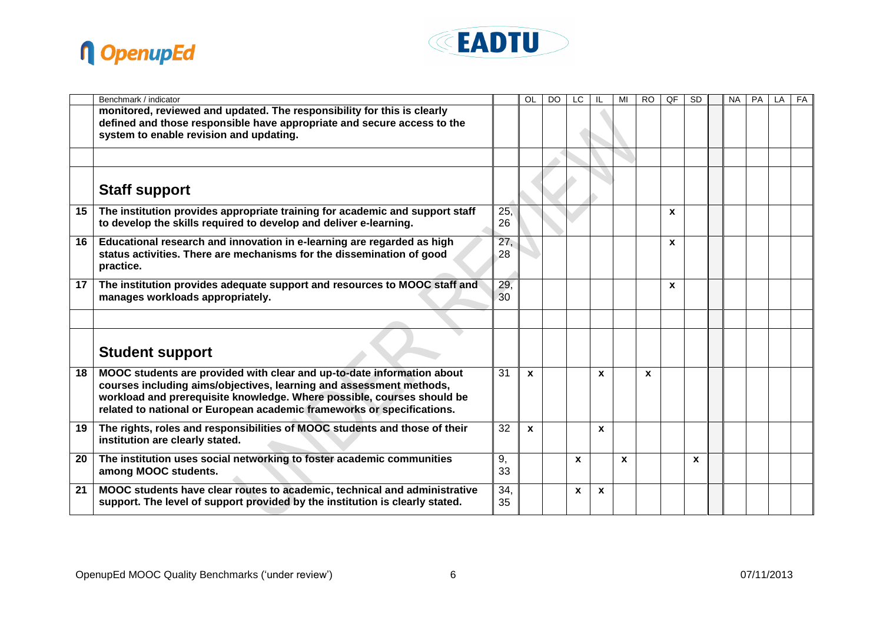



|    | Benchmark / indicator                                                                                                                                                                                                                                                                             |           | OL           | DO | LC |              | MI           | <b>RO</b> | QF           | <b>SD</b>    | <b>NA</b> | <b>PA</b> | LA | FA |
|----|---------------------------------------------------------------------------------------------------------------------------------------------------------------------------------------------------------------------------------------------------------------------------------------------------|-----------|--------------|----|----|--------------|--------------|-----------|--------------|--------------|-----------|-----------|----|----|
|    | monitored, reviewed and updated. The responsibility for this is clearly<br>defined and those responsible have appropriate and secure access to the<br>system to enable revision and updating.                                                                                                     |           |              |    |    |              |              |           |              |              |           |           |    |    |
|    |                                                                                                                                                                                                                                                                                                   |           |              |    |    |              |              |           |              |              |           |           |    |    |
|    | <b>Staff support</b>                                                                                                                                                                                                                                                                              |           |              |    |    |              |              |           |              |              |           |           |    |    |
| 15 | The institution provides appropriate training for academic and support staff<br>to develop the skills required to develop and deliver e-learning.                                                                                                                                                 | 25,<br>26 |              |    |    |              |              |           | $\mathbf{x}$ |              |           |           |    |    |
| 16 | Educational research and innovation in e-learning are regarded as high<br>status activities. There are mechanisms for the dissemination of good<br>practice.                                                                                                                                      | 27,<br>28 |              |    |    |              |              |           | $\mathbf{x}$ |              |           |           |    |    |
| 17 | The institution provides adequate support and resources to MOOC staff and<br>manages workloads appropriately.                                                                                                                                                                                     | 29,<br>30 |              |    |    |              |              |           | X            |              |           |           |    |    |
|    |                                                                                                                                                                                                                                                                                                   |           |              |    |    |              |              |           |              |              |           |           |    |    |
|    | <b>Student support</b>                                                                                                                                                                                                                                                                            |           |              |    |    |              |              |           |              |              |           |           |    |    |
| 18 | MOOC students are provided with clear and up-to-date information about<br>courses including aims/objectives, learning and assessment methods,<br>workload and prerequisite knowledge. Where possible, courses should be<br>related to national or European academic frameworks or specifications. | 31        | $\mathbf{x}$ |    |    | X            |              | X         |              |              |           |           |    |    |
| 19 | The rights, roles and responsibilities of MOOC students and those of their<br>institution are clearly stated.                                                                                                                                                                                     | 32        | $\mathbf{x}$ |    |    | X            |              |           |              |              |           |           |    |    |
| 20 | The institution uses social networking to foster academic communities<br>among MOOC students.                                                                                                                                                                                                     | 9,<br>33  |              |    | X  |              | $\mathbf{x}$ |           |              | $\mathbf{x}$ |           |           |    |    |
| 21 | MOOC students have clear routes to academic, technical and administrative<br>support. The level of support provided by the institution is clearly stated.                                                                                                                                         | 34.<br>35 |              |    | X  | $\mathbf{x}$ |              |           |              |              |           |           |    |    |